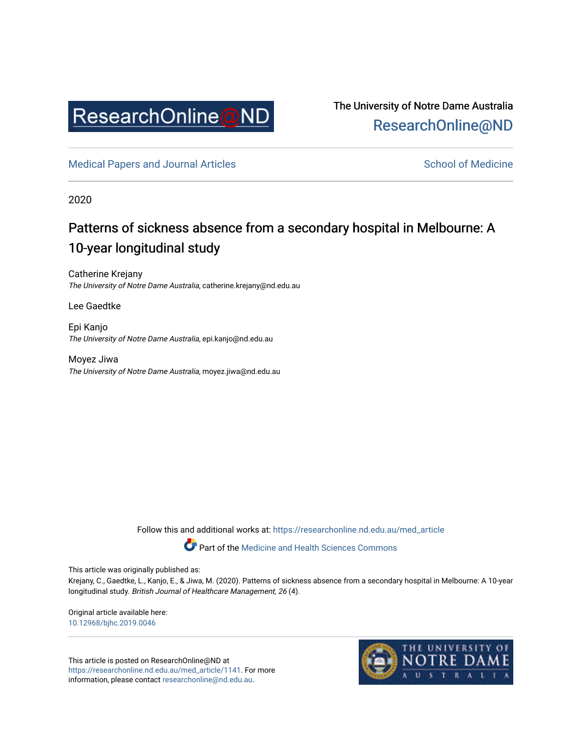

The University of Notre Dame Australia [ResearchOnline@ND](https://researchonline.nd.edu.au/) 

[Medical Papers and Journal Articles](https://researchonline.nd.edu.au/med_article) and School of Medicine

2020

# Patterns of sickness absence from a secondary hospital in Melbourne: A 10-year longitudinal study

Catherine Krejany The University of Notre Dame Australia, catherine.krejany@nd.edu.au

Lee Gaedtke

Epi Kanjo The University of Notre Dame Australia, epi.kanjo@nd.edu.au

Moyez Jiwa The University of Notre Dame Australia, moyez.jiwa@nd.edu.au

Follow this and additional works at: [https://researchonline.nd.edu.au/med\\_article](https://researchonline.nd.edu.au/med_article?utm_source=researchonline.nd.edu.au%2Fmed_article%2F1141&utm_medium=PDF&utm_campaign=PDFCoverPages) 

Part of the [Medicine and Health Sciences Commons](http://network.bepress.com/hgg/discipline/648?utm_source=researchonline.nd.edu.au%2Fmed_article%2F1141&utm_medium=PDF&utm_campaign=PDFCoverPages)

This article was originally published as:

Krejany, C., Gaedtke, L., Kanjo, E., & Jiwa, M. (2020). Patterns of sickness absence from a secondary hospital in Melbourne: A 10-year longitudinal study. British Journal of Healthcare Management, 26 (4).

Original article available here: [10.12968/bjhc.2019.0046](https://doi.org/10.12968/bjhc.2019.0046%20%20) 

This article is posted on ResearchOnline@ND at [https://researchonline.nd.edu.au/med\\_article/1141.](https://researchonline.nd.edu.au/med_article/1141) For more information, please contact [researchonline@nd.edu.au.](mailto:researchonline@nd.edu.au)

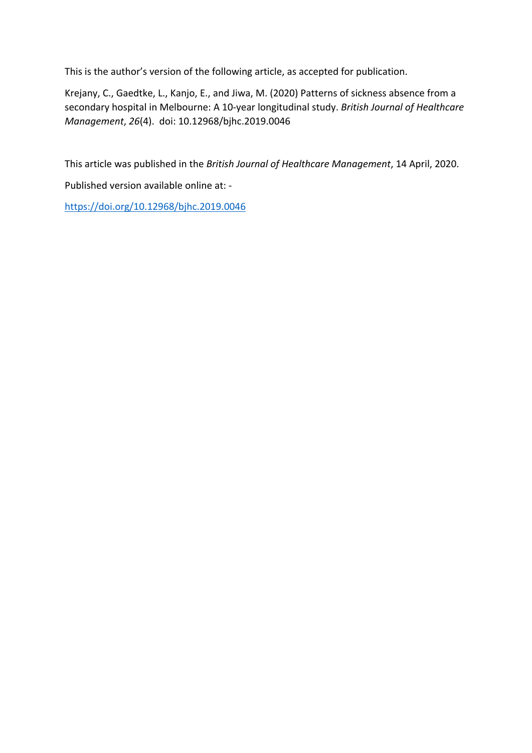This is the author's version of the following article, as accepted for publication.

Krejany, C., Gaedtke, L., Kanjo, E., and Jiwa, M. (2020) Patterns of sickness absence from a secondary hospital in Melbourne: A 10-year longitudinal study. *British Journal of Healthcare Management*, *26*(4). doi: 10.12968/bjhc.2019.0046

This article was published in the *British Journal of Healthcare Management*, 14 April, 2020.

Published version available online at: -

https://doi.org/10.12968/bjhc.2019.0046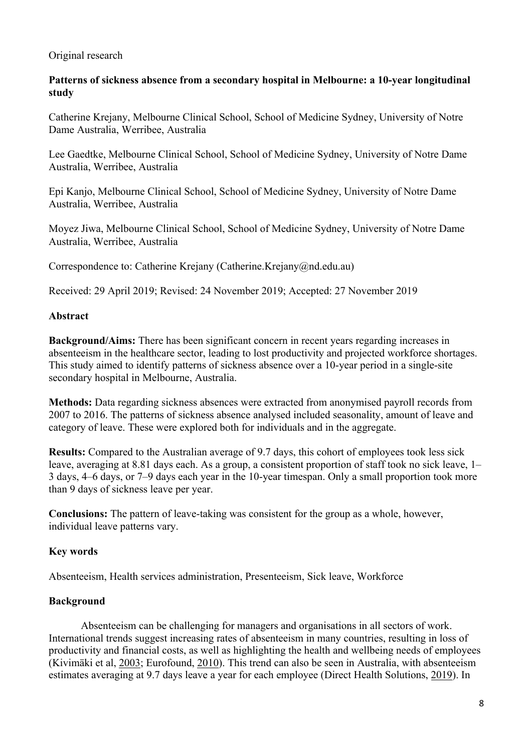### Original research

### **Patterns of sickness absence from a secondary hospital in Melbourne: a 10-year longitudinal study**

Catherine Krejany, Melbourne Clinical School, School of Medicine Sydney, University of Notre Dame Australia, Werribee, Australia

Lee Gaedtke, Melbourne Clinical School, School of Medicine Sydney, University of Notre Dame Australia, Werribee, Australia

Epi Kanjo, Melbourne Clinical School, School of Medicine Sydney, University of Notre Dame Australia, Werribee, Australia

Moyez Jiwa, Melbourne Clinical School, School of Medicine Sydney, University of Notre Dame Australia, Werribee, Australia

Correspondence to: Catherine Krejany (Catherine.Krejany@nd.edu.au)

Received: 29 April 2019; Revised: 24 November 2019; Accepted: 27 November 2019

### **Abstract**

**Background/Aims:** There has been significant concern in recent years regarding increases in absenteeism in the healthcare sector, leading to lost productivity and projected workforce shortages. This study aimed to identify patterns of sickness absence over a 10-year period in a single-site secondary hospital in Melbourne, Australia.

**Methods:** Data regarding sickness absences were extracted from anonymised payroll records from 2007 to 2016. The patterns of sickness absence analysed included seasonality, amount of leave and category of leave. These were explored both for individuals and in the aggregate.

**Results:** Compared to the Australian average of 9.7 days, this cohort of employees took less sick leave, averaging at 8.81 days each. As a group, a consistent proportion of staff took no sick leave, 1– 3 days, 4–6 days, or 7–9 days each year in the 10-year timespan. Only a small proportion took more than 9 days of sickness leave per year.

**Conclusions:** The pattern of leave-taking was consistent for the group as a whole, however, individual leave patterns vary.

#### **Key words**

Absenteeism, Health services administration, Presenteeism, Sick leave, Workforce

### **Background**

Absenteeism can be challenging for managers and organisations in all sectors of work. International trends suggest increasing rates of absenteeism in many countries, resulting in loss of productivity and financial costs, as well as highlighting the health and wellbeing needs of employees (Kivimäki et al, 2003; Eurofound, 2010). This trend can also be seen in Australia, with absenteeism estimates averaging at 9.7 days leave a year for each employee (Direct Health Solutions, 2019). In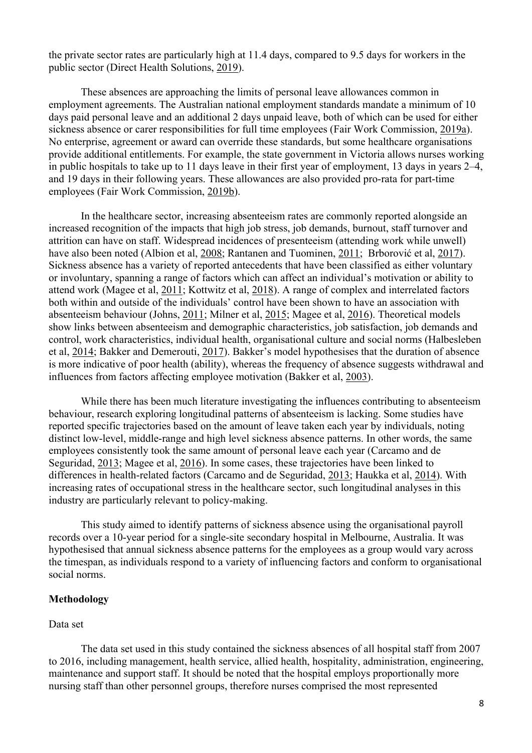the private sector rates are particularly high at 11.4 days, compared to 9.5 days for workers in the public sector (Direct Health Solutions, 2019).

These absences are approaching the limits of personal leave allowances common in employment agreements. The Australian national employment standards mandate a minimum of 10 days paid personal leave and an additional 2 days unpaid leave, both of which can be used for either sickness absence or carer responsibilities for full time employees (Fair Work Commission, 2019a). No enterprise, agreement or award can override these standards, but some healthcare organisations provide additional entitlements. For example, the state government in Victoria allows nurses working in public hospitals to take up to 11 days leave in their first year of employment, 13 days in years 2–4, and 19 days in their following years. These allowances are also provided pro-rata for part-time employees (Fair Work Commission, 2019b).

In the healthcare sector, increasing absenteeism rates are commonly reported alongside an increased recognition of the impacts that high job stress, job demands, burnout, staff turnover and attrition can have on staff. Widespread incidences of presenteeism (attending work while unwell) have also been noted (Albion et al, 2008; Rantanen and Tuominen, 2011; Brborović et al, 2017). Sickness absence has a variety of reported antecedents that have been classified as either voluntary or involuntary, spanning a range of factors which can affect an individual's motivation or ability to attend work (Magee et al, 2011; Kottwitz et al, 2018). A range of complex and interrelated factors both within and outside of the individuals' control have been shown to have an association with absenteeism behaviour (Johns, 2011; Milner et al, 2015; Magee et al, 2016). Theoretical models show links between absenteeism and demographic characteristics, job satisfaction, job demands and control, work characteristics, individual health, organisational culture and social norms (Halbesleben et al, 2014; Bakker and Demerouti, 2017). Bakker's model hypothesises that the duration of absence is more indicative of poor health (ability), whereas the frequency of absence suggests withdrawal and influences from factors affecting employee motivation (Bakker et al, 2003).

While there has been much literature investigating the influences contributing to absenteeism behaviour, research exploring longitudinal patterns of absenteeism is lacking. Some studies have reported specific trajectories based on the amount of leave taken each year by individuals, noting distinct low-level, middle-range and high level sickness absence patterns. In other words, the same employees consistently took the same amount of personal leave each year (Carcamo and de Seguridad, 2013; Magee et al, 2016). In some cases, these trajectories have been linked to differences in health-related factors (Carcamo and de Seguridad, 2013; Haukka et al, 2014). With increasing rates of occupational stress in the healthcare sector, such longitudinal analyses in this industry are particularly relevant to policy-making.

This study aimed to identify patterns of sickness absence using the organisational payroll records over a 10-year period for a single-site secondary hospital in Melbourne, Australia. It was hypothesised that annual sickness absence patterns for the employees as a group would vary across the timespan, as individuals respond to a variety of influencing factors and conform to organisational social norms.

#### **Methodology**

#### Data set

The data set used in this study contained the sickness absences of all hospital staff from 2007 to 2016, including management, health service, allied health, hospitality, administration, engineering, maintenance and support staff. It should be noted that the hospital employs proportionally more nursing staff than other personnel groups, therefore nurses comprised the most represented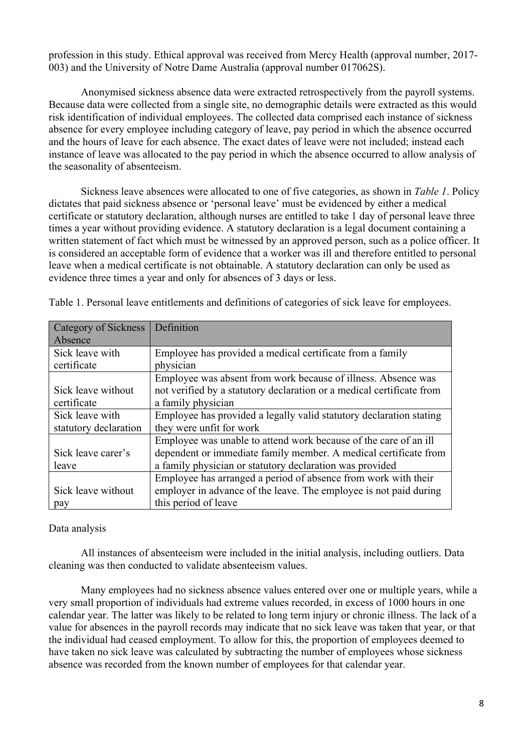profession in this study. Ethical approval was received from Mercy Health (approval number, 2017- 003) and the University of Notre Dame Australia (approval number 017062S).

Anonymised sickness absence data were extracted retrospectively from the payroll systems. Because data were collected from a single site, no demographic details were extracted as this would risk identification of individual employees. The collected data comprised each instance of sickness absence for every employee including category of leave, pay period in which the absence occurred and the hours of leave for each absence. The exact dates of leave were not included; instead each instance of leave was allocated to the pay period in which the absence occurred to allow analysis of the seasonality of absenteeism.

Sickness leave absences were allocated to one of five categories, as shown in *Table 1*. Policy dictates that paid sickness absence or 'personal leave' must be evidenced by either a medical certificate or statutory declaration, although nurses are entitled to take 1 day of personal leave three times a year without providing evidence. A statutory declaration is a legal document containing a written statement of fact which must be witnessed by an approved person, such as a police officer. It is considered an acceptable form of evidence that a worker was ill and therefore entitled to personal leave when a medical certificate is not obtainable. A statutory declaration can only be used as evidence three times a year and only for absences of 3 days or less.

| <b>Category of Sickness</b> | Definition                                                            |
|-----------------------------|-----------------------------------------------------------------------|
| Absence                     |                                                                       |
| Sick leave with             | Employee has provided a medical certificate from a family             |
| certificate                 | physician                                                             |
|                             | Employee was absent from work because of illness. Absence was         |
| Sick leave without          | not verified by a statutory declaration or a medical certificate from |
| certificate                 | a family physician                                                    |
| Sick leave with             | Employee has provided a legally valid statutory declaration stating   |
| statutory declaration       | they were unfit for work                                              |
|                             | Employee was unable to attend work because of the care of an ill      |
| Sick leave carer's          | dependent or immediate family member. A medical certificate from      |
| leave                       | a family physician or statutory declaration was provided              |
|                             | Employee has arranged a period of absence from work with their        |
| Sick leave without          | employer in advance of the leave. The employee is not paid during     |
| pay                         | this period of leave                                                  |

Table 1. Personal leave entitlements and definitions of categories of sick leave for employees.

#### Data analysis

All instances of absenteeism were included in the initial analysis, including outliers. Data cleaning was then conducted to validate absenteeism values.

Many employees had no sickness absence values entered over one or multiple years, while a very small proportion of individuals had extreme values recorded, in excess of 1000 hours in one calendar year. The latter was likely to be related to long term injury or chronic illness. The lack of a value for absences in the payroll records may indicate that no sick leave was taken that year, or that the individual had ceased employment. To allow for this, the proportion of employees deemed to have taken no sick leave was calculated by subtracting the number of employees whose sickness absence was recorded from the known number of employees for that calendar year.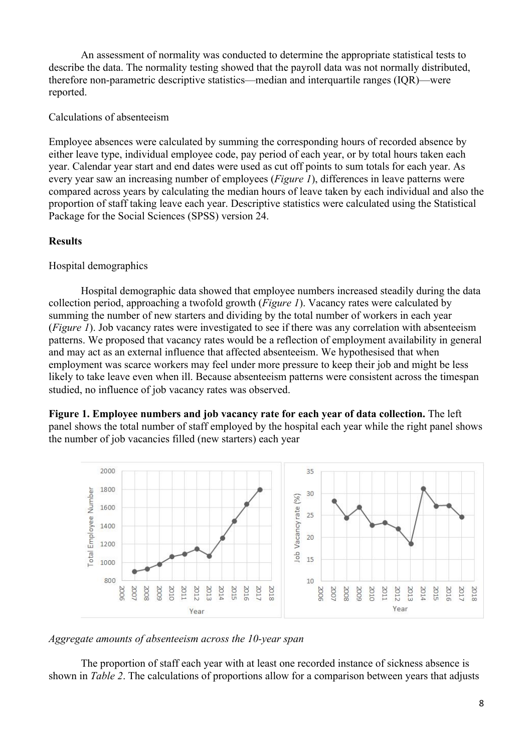An assessment of normality was conducted to determine the appropriate statistical tests to describe the data. The normality testing showed that the payroll data was not normally distributed, therefore non-parametric descriptive statistics—median and interquartile ranges (IQR)—were reported.

### Calculations of absenteeism

Employee absences were calculated by summing the corresponding hours of recorded absence by either leave type, individual employee code, pay period of each year, or by total hours taken each year. Calendar year start and end dates were used as cut off points to sum totals for each year. As every year saw an increasing number of employees (*Figure 1*), differences in leave patterns were compared across years by calculating the median hours of leave taken by each individual and also the proportion of staff taking leave each year. Descriptive statistics were calculated using the Statistical Package for the Social Sciences (SPSS) version 24.

# **Results**

# Hospital demographics

Hospital demographic data showed that employee numbers increased steadily during the data collection period, approaching a twofold growth (*Figure 1*). Vacancy rates were calculated by summing the number of new starters and dividing by the total number of workers in each year (*Figure 1*). Job vacancy rates were investigated to see if there was any correlation with absenteeism patterns. We proposed that vacancy rates would be a reflection of employment availability in general and may act as an external influence that affected absenteeism. We hypothesised that when employment was scarce workers may feel under more pressure to keep their job and might be less likely to take leave even when ill. Because absenteeism patterns were consistent across the timespan studied, no influence of job vacancy rates was observed.

**Figure 1. Employee numbers and job vacancy rate for each year of data collection.** The left panel shows the total number of staff employed by the hospital each year while the right panel shows the number of job vacancies filled (new starters) each year



### *Aggregate amounts of absenteeism across the 10-year span*

The proportion of staff each year with at least one recorded instance of sickness absence is shown in *Table 2*. The calculations of proportions allow for a comparison between years that adjusts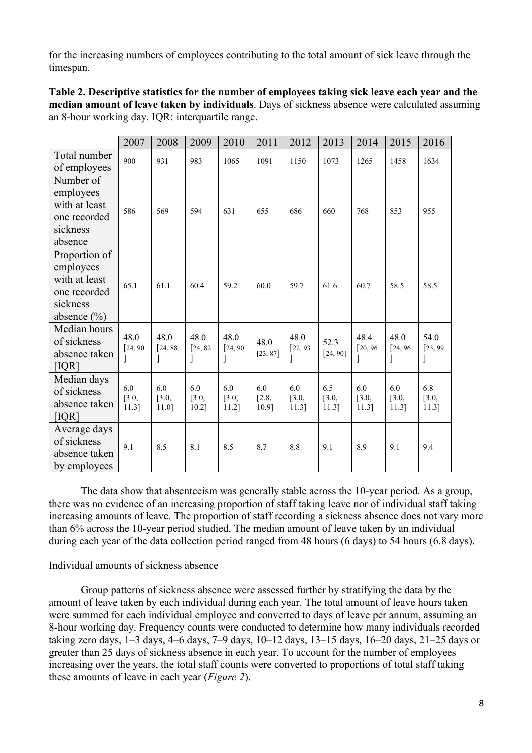for the increasing numbers of employees contributing to the total amount of sick leave through the timespan.

**Table 2. Descriptive statistics for the number of employees taking sick leave each year and the median amount of leave taken by individuals**. Days of sickness absence were calculated assuming an 8-hour working day. IQR: interquartile range.

|                                                                                            | 2007                  | 2008                  | 2009                  | 2010                  | 2011                  | 2012                  | 2013                  | 2014                     | 2015                     | 2016                     |
|--------------------------------------------------------------------------------------------|-----------------------|-----------------------|-----------------------|-----------------------|-----------------------|-----------------------|-----------------------|--------------------------|--------------------------|--------------------------|
| Total number<br>of employees                                                               | 900                   | 931                   | 983                   | 1065                  | 1091                  | 1150                  | 1073                  | 1265                     | 1458                     | 1634                     |
| Number of<br>employees<br>with at least<br>one recorded<br>sickness<br>absence             | 586                   | 569                   | 594                   | 631                   | 655                   | 686                   | 660                   | 768                      | 853                      | 955                      |
| Proportion of<br>employees<br>with at least<br>one recorded<br>sickness<br>absence $(\% )$ | 65.1                  | 61.1                  | 60.4                  | 59.2                  | 60.0                  | 59.7                  | 61.6                  | 60.7                     | 58.5                     | 58.5                     |
| Median hours<br>of sickness<br>absence taken<br>[IQR]                                      | 48.0<br>[24, 90]      | 48.0<br>[24, 88]<br>1 | 48.0<br>[24, 82]<br>1 | 48.0<br>[24, 90]<br>1 | 48.0<br>[23, 87]      | 48.0<br>[22, 93]      | 52.3<br>[24, 90]      | 48.4<br>[20, 96]<br>]    | 48.0<br>[24, 96]         | 54.0<br>[23, 99]<br>1    |
| Median days<br>of sickness<br>absence taken<br>[IQR]                                       | 6.0<br>[3.0,<br>11.3] | 6.0<br>[3.0,<br>11.0] | 6.0<br>[3.0,<br>10.2] | 6.0<br>[3.0,<br>11.2] | 6.0<br>[2.8,<br>10.9] | 6.0<br>[3.0,<br>11.3] | 6.5<br>[3.0,<br>11.3] | 6.0<br>[3.0,<br>$11.3$ ] | 6.0<br>[3.0,<br>$11.3$ ] | 6.8<br>[3.0,<br>$11.3$ ] |
| Average days<br>of sickness<br>absence taken<br>by employees                               | 9.1                   | 8.5                   | 8.1                   | 8.5                   | 8.7                   | 8.8                   | 9.1                   | 8.9                      | 9.1                      | 9.4                      |

The data show that absenteeism was generally stable across the 10-year period. As a group, there was no evidence of an increasing proportion of staff taking leave nor of individual staff taking increasing amounts of leave. The proportion of staff recording a sickness absence does not vary more than 6% across the 10-year period studied. The median amount of leave taken by an individual during each year of the data collection period ranged from 48 hours (6 days) to 54 hours (6.8 days).

### Individual amounts of sickness absence

Group patterns of sickness absence were assessed further by stratifying the data by the amount of leave taken by each individual during each year. The total amount of leave hours taken were summed for each individual employee and converted to days of leave per annum, assuming an 8-hour working day. Frequency counts were conducted to determine how many individuals recorded taking zero days, 1–3 days, 4–6 days, 7–9 days, 10–12 days, 13–15 days, 16–20 days, 21–25 days or greater than 25 days of sickness absence in each year. To account for the number of employees increasing over the years, the total staff counts were converted to proportions of total staff taking these amounts of leave in each year (*Figure 2*).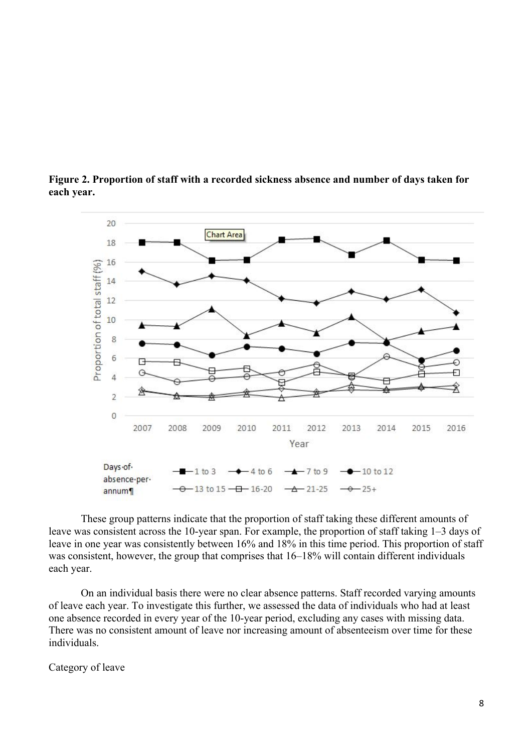

**Figure 2. Proportion of staff with a recorded sickness absence and number of days taken for each year.** 

These group patterns indicate that the proportion of staff taking these different amounts of leave was consistent across the 10-year span. For example, the proportion of staff taking 1–3 days of leave in one year was consistently between 16% and 18% in this time period. This proportion of staff was consistent, however, the group that comprises that 16–18% will contain different individuals each year.

On an individual basis there were no clear absence patterns. Staff recorded varying amounts of leave each year. To investigate this further, we assessed the data of individuals who had at least one absence recorded in every year of the 10-year period, excluding any cases with missing data. There was no consistent amount of leave nor increasing amount of absenteeism over time for these individuals.

Category of leave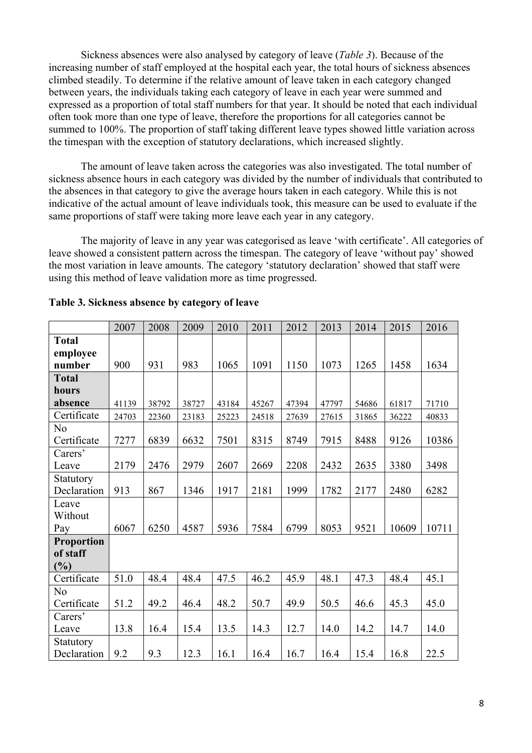Sickness absences were also analysed by category of leave (*Table 3*). Because of the increasing number of staff employed at the hospital each year, the total hours of sickness absences climbed steadily. To determine if the relative amount of leave taken in each category changed between years, the individuals taking each category of leave in each year were summed and expressed as a proportion of total staff numbers for that year. It should be noted that each individual often took more than one type of leave, therefore the proportions for all categories cannot be summed to 100%. The proportion of staff taking different leave types showed little variation across the timespan with the exception of statutory declarations, which increased slightly.

The amount of leave taken across the categories was also investigated. The total number of sickness absence hours in each category was divided by the number of individuals that contributed to the absences in that category to give the average hours taken in each category. While this is not indicative of the actual amount of leave individuals took, this measure can be used to evaluate if the same proportions of staff were taking more leave each year in any category.

The majority of leave in any year was categorised as leave 'with certificate'. All categories of leave showed a consistent pattern across the timespan. The category of leave 'without pay' showed the most variation in leave amounts. The category 'statutory declaration' showed that staff were using this method of leave validation more as time progressed.

|                   | 2007  | 2008  | 2009  | 2010  | 2011  | 2012  | 2013  | 2014  | 2015  | 2016  |
|-------------------|-------|-------|-------|-------|-------|-------|-------|-------|-------|-------|
| <b>Total</b>      |       |       |       |       |       |       |       |       |       |       |
| employee          |       |       |       |       |       |       |       |       |       |       |
| number            | 900   | 931   | 983   | 1065  | 1091  | 1150  | 1073  | 1265  | 1458  | 1634  |
| <b>Total</b>      |       |       |       |       |       |       |       |       |       |       |
| hours             |       |       |       |       |       |       |       |       |       |       |
| absence           | 41139 | 38792 | 38727 | 43184 | 45267 | 47394 | 47797 | 54686 | 61817 | 71710 |
| Certificate       | 24703 | 22360 | 23183 | 25223 | 24518 | 27639 | 27615 | 31865 | 36222 | 40833 |
| N <sub>o</sub>    |       |       |       |       |       |       |       |       |       |       |
| Certificate       | 7277  | 6839  | 6632  | 7501  | 8315  | 8749  | 7915  | 8488  | 9126  | 10386 |
| Carers'           |       |       |       |       |       |       |       |       |       |       |
| Leave             | 2179  | 2476  | 2979  | 2607  | 2669  | 2208  | 2432  | 2635  | 3380  | 3498  |
| Statutory         |       |       |       |       |       |       |       |       |       |       |
| Declaration       | 913   | 867   | 1346  | 1917  | 2181  | 1999  | 1782  | 2177  | 2480  | 6282  |
| Leave             |       |       |       |       |       |       |       |       |       |       |
| Without           |       |       |       |       |       |       |       |       |       |       |
| Pay               | 6067  | 6250  | 4587  | 5936  | 7584  | 6799  | 8053  | 9521  | 10609 | 10711 |
| <b>Proportion</b> |       |       |       |       |       |       |       |       |       |       |
| of staff          |       |       |       |       |       |       |       |       |       |       |
| (%)               |       |       |       |       |       |       |       |       |       |       |
| Certificate       | 51.0  | 48.4  | 48.4  | 47.5  | 46.2  | 45.9  | 48.1  | 47.3  | 48.4  | 45.1  |
| No                |       |       |       |       |       |       |       |       |       |       |
| Certificate       | 51.2  | 49.2  | 46.4  | 48.2  | 50.7  | 49.9  | 50.5  | 46.6  | 45.3  | 45.0  |
| Carers'           |       |       |       |       |       |       |       |       |       |       |
| Leave             | 13.8  | 16.4  | 15.4  | 13.5  | 14.3  | 12.7  | 14.0  | 14.2  | 14.7  | 14.0  |
| Statutory         |       |       |       |       |       |       |       |       |       |       |
| Declaration       | 9.2   | 9.3   | 12.3  | 16.1  | 16.4  | 16.7  | 16.4  | 15.4  | 16.8  | 22.5  |

**Table 3. Sickness absence by category of leave**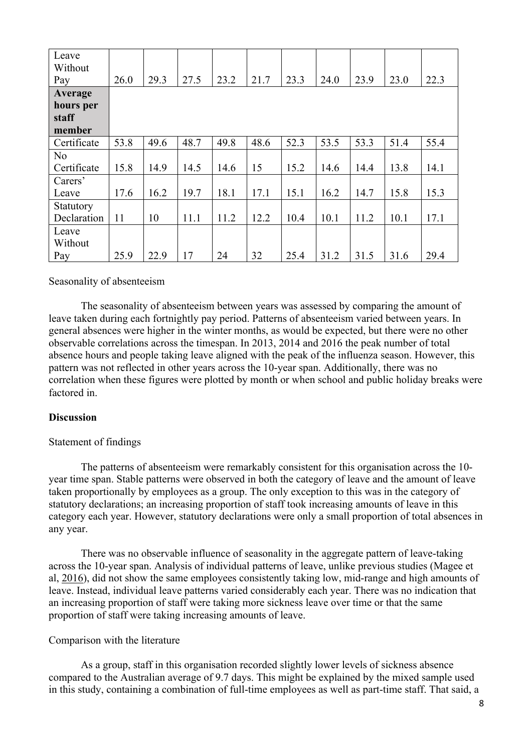| Leave       |      |      |      |      |      |      |      |      |      |      |
|-------------|------|------|------|------|------|------|------|------|------|------|
| Without     |      |      |      |      |      |      |      |      |      |      |
| Pay         | 26.0 | 29.3 | 27.5 | 23.2 | 21.7 | 23.3 | 24.0 | 23.9 | 23.0 | 22.3 |
| Average     |      |      |      |      |      |      |      |      |      |      |
| hours per   |      |      |      |      |      |      |      |      |      |      |
| staff       |      |      |      |      |      |      |      |      |      |      |
| member      |      |      |      |      |      |      |      |      |      |      |
| Certificate | 53.8 | 49.6 | 48.7 | 49.8 | 48.6 | 52.3 | 53.5 | 53.3 | 51.4 | 55.4 |
| No          |      |      |      |      |      |      |      |      |      |      |
| Certificate | 15.8 | 14.9 | 14.5 | 14.6 | 15   | 15.2 | 14.6 | 14.4 | 13.8 | 14.1 |
| Carers'     |      |      |      |      |      |      |      |      |      |      |
| Leave       | 17.6 | 16.2 | 19.7 | 18.1 | 17.1 | 15.1 | 16.2 | 14.7 | 15.8 | 15.3 |
| Statutory   |      |      |      |      |      |      |      |      |      |      |
| Declaration | 11   | 10   | 11.1 | 11.2 | 12.2 | 10.4 | 10.1 | 11.2 | 10.1 | 17.1 |
| Leave       |      |      |      |      |      |      |      |      |      |      |
| Without     |      |      |      |      |      |      |      |      |      |      |
| Pay         | 25.9 | 22.9 | 17   | 24   | 32   | 25.4 | 31.2 | 31.5 | 31.6 | 29.4 |

Seasonality of absenteeism

The seasonality of absenteeism between years was assessed by comparing the amount of leave taken during each fortnightly pay period. Patterns of absenteeism varied between years. In general absences were higher in the winter months, as would be expected, but there were no other observable correlations across the timespan. In 2013, 2014 and 2016 the peak number of total absence hours and people taking leave aligned with the peak of the influenza season. However, this pattern was not reflected in other years across the 10-year span. Additionally, there was no correlation when these figures were plotted by month or when school and public holiday breaks were factored in.

### **Discussion**

#### Statement of findings

The patterns of absenteeism were remarkably consistent for this organisation across the 10 year time span. Stable patterns were observed in both the category of leave and the amount of leave taken proportionally by employees as a group. The only exception to this was in the category of statutory declarations; an increasing proportion of staff took increasing amounts of leave in this category each year. However, statutory declarations were only a small proportion of total absences in any year.

There was no observable influence of seasonality in the aggregate pattern of leave-taking across the 10-year span. Analysis of individual patterns of leave, unlike previous studies (Magee et al, 2016), did not show the same employees consistently taking low, mid-range and high amounts of leave. Instead, individual leave patterns varied considerably each year. There was no indication that an increasing proportion of staff were taking more sickness leave over time or that the same proportion of staff were taking increasing amounts of leave.

#### Comparison with the literature

As a group, staff in this organisation recorded slightly lower levels of sickness absence compared to the Australian average of 9.7 days. This might be explained by the mixed sample used in this study, containing a combination of full-time employees as well as part-time staff. That said, a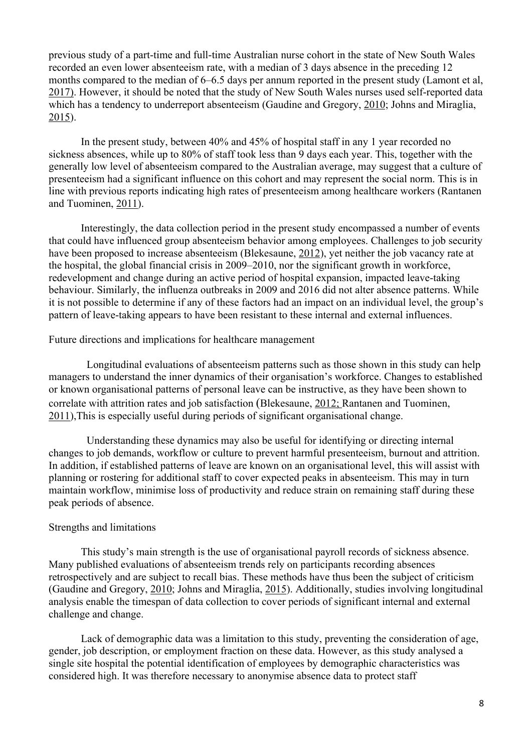previous study of a part-time and full-time Australian nurse cohort in the state of New South Wales recorded an even lower absenteeism rate, with a median of 3 days absence in the preceding 12 months compared to the median of 6–6.5 days per annum reported in the present study (Lamont et al, 2017). However, it should be noted that the study of New South Wales nurses used self-reported data which has a tendency to underreport absenteeism (Gaudine and Gregory, 2010; Johns and Miraglia, 2015).

In the present study, between 40% and 45% of hospital staff in any 1 year recorded no sickness absences, while up to 80% of staff took less than 9 days each year. This, together with the generally low level of absenteeism compared to the Australian average, may suggest that a culture of presenteeism had a significant influence on this cohort and may represent the social norm. This is in line with previous reports indicating high rates of presenteeism among healthcare workers (Rantanen and Tuominen, 2011).

Interestingly, the data collection period in the present study encompassed a number of events that could have influenced group absenteeism behavior among employees. Challenges to job security have been proposed to increase absenteeism (Blekesaune, 2012), yet neither the job vacancy rate at the hospital, the global financial crisis in 2009–2010, nor the significant growth in workforce, redevelopment and change during an active period of hospital expansion, impacted leave-taking behaviour. Similarly, the influenza outbreaks in 2009 and 2016 did not alter absence patterns. While it is not possible to determine if any of these factors had an impact on an individual level, the group's pattern of leave-taking appears to have been resistant to these internal and external influences.

#### Future directions and implications for healthcare management

Longitudinal evaluations of absenteeism patterns such as those shown in this study can help managers to understand the inner dynamics of their organisation's workforce. Changes to established or known organisational patterns of personal leave can be instructive, as they have been shown to correlate with attrition rates and job satisfaction (Blekesaune, 2012; Rantanen and Tuominen, 2011),This is especially useful during periods of significant organisational change.

Understanding these dynamics may also be useful for identifying or directing internal changes to job demands, workflow or culture to prevent harmful presenteeism, burnout and attrition. In addition, if established patterns of leave are known on an organisational level, this will assist with planning or rostering for additional staff to cover expected peaks in absenteeism. This may in turn maintain workflow, minimise loss of productivity and reduce strain on remaining staff during these peak periods of absence.

#### Strengths and limitations

This study's main strength is the use of organisational payroll records of sickness absence. Many published evaluations of absenteeism trends rely on participants recording absences retrospectively and are subject to recall bias. These methods have thus been the subject of criticism (Gaudine and Gregory, 2010; Johns and Miraglia, 2015). Additionally, studies involving longitudinal analysis enable the timespan of data collection to cover periods of significant internal and external challenge and change.

Lack of demographic data was a limitation to this study, preventing the consideration of age, gender, job description, or employment fraction on these data. However, as this study analysed a single site hospital the potential identification of employees by demographic characteristics was considered high. It was therefore necessary to anonymise absence data to protect staff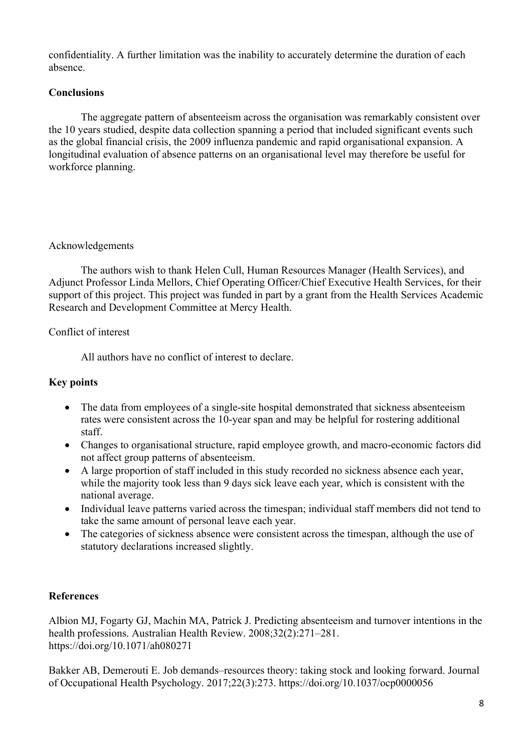confidentiality. A further limitation was the inability to accurately determine the duration of each absence.

# **Conclusions**

The aggregate pattern of absenteeism across the organisation was remarkably consistent over the 10 years studied, despite data collection spanning a period that included significant events such as the global financial crisis, the 2009 influenza pandemic and rapid organisational expansion. A longitudinal evaluation of absence patterns on an organisational level may therefore be useful for workforce planning.

# Acknowledgements

The authors wish to thank Helen Cull, Human Resources Manager (Health Services), and Adjunct Professor Linda Mellors, Chief Operating Officer/Chief Executive Health Services, for their support of this project. This project was funded in part by a grant from the Health Services Academic Research and Development Committee at Mercy Health.

# Conflict of interest

All authors have no conflict of interest to declare.

# **Key points**

- The data from employees of a single-site hospital demonstrated that sickness absenteeism rates were consistent across the 10-year span and may be helpful for rostering additional staff.
- Changes to organisational structure, rapid employee growth, and macro-economic factors did not affect group patterns of absenteeism.
- A large proportion of staff included in this study recorded no sickness absence each year, while the majority took less than 9 days sick leave each year, which is consistent with the national average.
- Individual leave patterns varied across the timespan; individual staff members did not tend to take the same amount of personal leave each year.
- The categories of sickness absence were consistent across the timespan, although the use of statutory declarations increased slightly.

### **References**

Albion MJ, Fogarty GJ, Machin MA, Patrick J. Predicting absenteeism and turnover intentions in the health professions. Australian Health Review. 2008;32(2):271–281. https://doi.org/10.1071/ah080271

Bakker AB, Demerouti E. Job demands–resources theory: taking stock and looking forward. Journal of Occupational Health Psychology. 2017;22(3):273. https://doi.org/10.1037/ocp0000056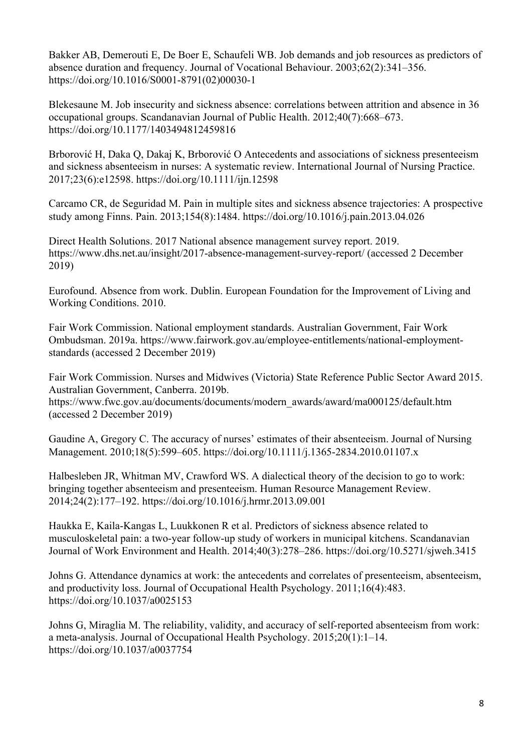Bakker AB, Demerouti E, De Boer E, Schaufeli WB. Job demands and job resources as predictors of absence duration and frequency. Journal of Vocational Behaviour. 2003;62(2):341–356. https://doi.org/10.1016/S0001-8791(02)00030-1

Blekesaune M. Job insecurity and sickness absence: correlations between attrition and absence in 36 occupational groups. Scandanavian Journal of Public Health. 2012;40(7):668–673. https://doi.org/10.1177/1403494812459816

Brborović H, Daka O, Dakaj K, Brborović O Antecedents and associations of sickness presenteeism and sickness absenteeism in nurses: A systematic review. International Journal of Nursing Practice. 2017;23(6):e12598. https://doi.org/10.1111/ijn.12598

Carcamo CR, de Seguridad M. Pain in multiple sites and sickness absence trajectories: A prospective study among Finns. Pain. 2013;154(8):1484. https://doi.org/10.1016/j.pain.2013.04.026

Direct Health Solutions. 2017 National absence management survey report. 2019. https://www.dhs.net.au/insight/2017-absence-management-survey-report/ (accessed 2 December 2019)

Eurofound. Absence from work. Dublin. European Foundation for the Improvement of Living and Working Conditions. 2010.

Fair Work Commission. National employment standards. Australian Government, Fair Work Ombudsman. 2019a. https://www.fairwork.gov.au/employee-entitlements/national-employmentstandards (accessed 2 December 2019)

Fair Work Commission. Nurses and Midwives (Victoria) State Reference Public Sector Award 2015. Australian Government, Canberra. 2019b.

https://www.fwc.gov.au/documents/documents/modern\_awards/award/ma000125/default.htm (accessed 2 December 2019)

Gaudine A, Gregory C. The accuracy of nurses' estimates of their absenteeism. Journal of Nursing Management. 2010;18(5):599–605. https://doi.org/10.1111/j.1365-2834.2010.01107.x

Halbesleben JR, Whitman MV, Crawford WS. A dialectical theory of the decision to go to work: bringing together absenteeism and presenteeism. Human Resource Management Review. 2014;24(2):177–192. https://doi.org/10.1016/j.hrmr.2013.09.001

Haukka E, Kaila-Kangas L, Luukkonen R et al. Predictors of sickness absence related to musculoskeletal pain: a two-year follow-up study of workers in municipal kitchens. Scandanavian Journal of Work Environment and Health. 2014;40(3):278–286. https://doi.org/10.5271/sjweh.3415

Johns G. Attendance dynamics at work: the antecedents and correlates of presenteeism, absenteeism, and productivity loss. Journal of Occupational Health Psychology. 2011;16(4):483. https://doi.org/10.1037/a0025153

Johns G, Miraglia M. The reliability, validity, and accuracy of self-reported absenteeism from work: a meta-analysis. Journal of Occupational Health Psychology. 2015;20(1):1–14. https://doi.org/10.1037/a0037754